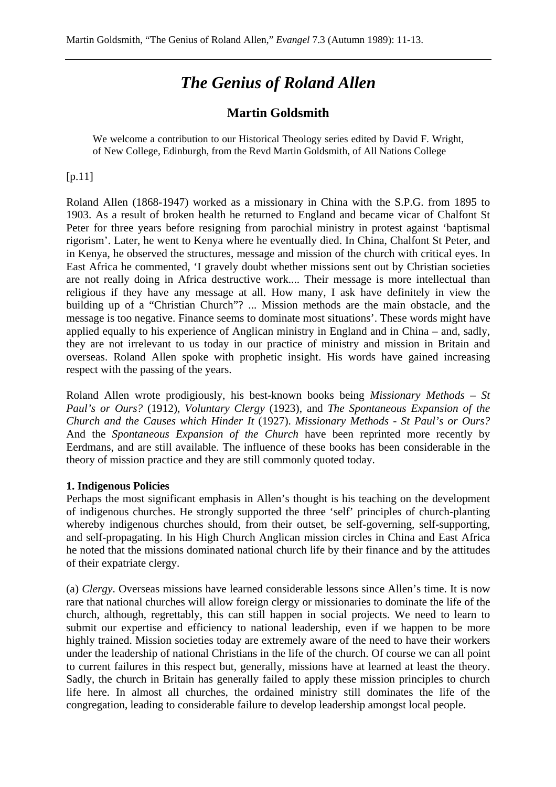## *The Genius of Roland Allen*

## **Martin Goldsmith**

We welcome a contribution to our Historical Theology series edited by David F. Wright, of New College, Edinburgh, from the Revd Martin Goldsmith, of All Nations College

## [p.11]

Roland Allen (1868-1947) worked as a missionary in China with the S.P.G. from 1895 to 1903. As a result of broken health he returned to England and became vicar of Chalfont St Peter for three years before resigning from parochial ministry in protest against 'baptismal rigorism'. Later, he went to Kenya where he eventually died. In China, Chalfont St Peter, and in Kenya, he observed the structures, message and mission of the church with critical eyes. In East Africa he commented, 'I gravely doubt whether missions sent out by Christian societies are not really doing in Africa destructive work.... Their message is more intellectual than religious if they have any message at all. How many, I ask have definitely in view the building up of a "Christian Church"? ... Mission methods are the main obstacle, and the message is too negative. Finance seems to dominate most situations'. These words might have applied equally to his experience of Anglican ministry in England and in China – and, sadly, they are not irrelevant to us today in our practice of ministry and mission in Britain and overseas. Roland Allen spoke with prophetic insight. His words have gained increasing respect with the passing of the years.

Roland Allen wrote prodigiously, his best-known books being *Missionary Methods* – *St Paul's or Ours?* (1912), *Voluntary Clergy* (1923), and *The Spontaneous Expansion of the Church and the Causes which Hinder It* (1927). *Missionary Methods - St Paul's or Ours?* And the *Spontaneous Expansion of the Church* have been reprinted more recently by Eerdmans, and are still available. The influence of these books has been considerable in the theory of mission practice and they are still commonly quoted today.

## **1. Indigenous Policies**

Perhaps the most significant emphasis in Allen's thought is his teaching on the development of indigenous churches. He strongly supported the three 'self' principles of church-planting whereby indigenous churches should, from their outset, be self-governing, self-supporting, and self-propagating. In his High Church Anglican mission circles in China and East Africa he noted that the missions dominated national church life by their finance and by the attitudes of their expatriate clergy.

(a) *Clergy*. Overseas missions have learned considerable lessons since Allen's time. It is now rare that national churches will allow foreign clergy or missionaries to dominate the life of the church, although, regrettably, this can still happen in social projects. We need to learn to submit our expertise and efficiency to national leadership, even if we happen to be more highly trained. Mission societies today are extremely aware of the need to have their workers under the leadership of national Christians in the life of the church. Of course we can all point to current failures in this respect but, generally, missions have at learned at least the theory. Sadly, the church in Britain has generally failed to apply these mission principles to church life here. In almost all churches, the ordained ministry still dominates the life of the congregation, leading to considerable failure to develop leadership amongst local people.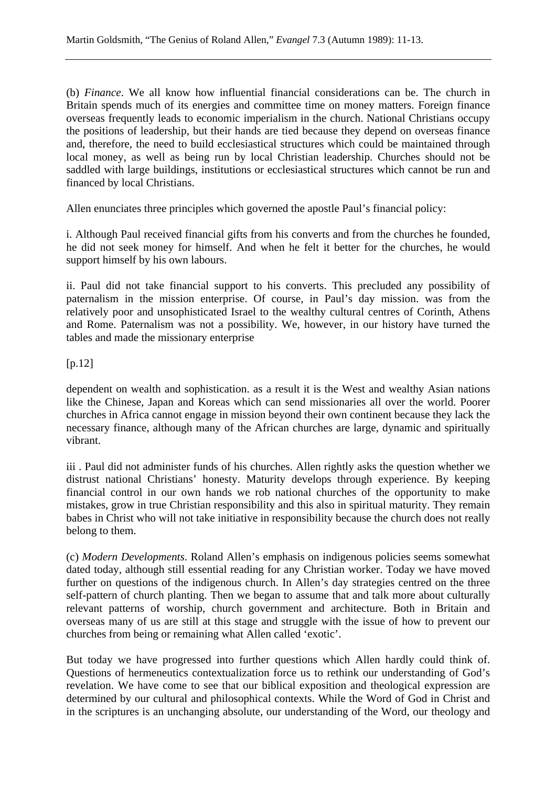(b) *Finance*. We all know how influential financial considerations can be. The church in Britain spends much of its energies and committee time on money matters. Foreign finance overseas frequently leads to economic imperialism in the church. National Christians occupy the positions of leadership, but their hands are tied because they depend on overseas finance and, therefore, the need to build ecclesiastical structures which could be maintained through local money, as well as being run by local Christian leadership. Churches should not be saddled with large buildings, institutions or ecclesiastical structures which cannot be run and financed by local Christians.

Allen enunciates three principles which governed the apostle Paul's financial policy:

i. Although Paul received financial gifts from his converts and from the churches he founded, he did not seek money for himself. And when he felt it better for the churches, he would support himself by his own labours.

ii. Paul did not take financial support to his converts. This precluded any possibility of paternalism in the mission enterprise. Of course, in Paul's day mission. was from the relatively poor and unsophisticated Israel to the wealthy cultural centres of Corinth, Athens and Rome. Paternalism was not a possibility. We, however, in our history have turned the tables and made the missionary enterprise

[p.12]

dependent on wealth and sophistication. as a result it is the West and wealthy Asian nations like the Chinese, Japan and Koreas which can send missionaries all over the world. Poorer churches in Africa cannot engage in mission beyond their own continent because they lack the necessary finance, although many of the African churches are large, dynamic and spiritually vibrant.

iii . Paul did not administer funds of his churches. Allen rightly asks the question whether we distrust national Christians' honesty. Maturity develops through experience. By keeping financial control in our own hands we rob national churches of the opportunity to make mistakes, grow in true Christian responsibility and this also in spiritual maturity. They remain babes in Christ who will not take initiative in responsibility because the church does not really belong to them.

(c) *Modern Developments*. Roland Allen's emphasis on indigenous policies seems somewhat dated today, although still essential reading for any Christian worker. Today we have moved further on questions of the indigenous church. In Allen's day strategies centred on the three self-pattern of church planting. Then we began to assume that and talk more about culturally relevant patterns of worship, church government and architecture. Both in Britain and overseas many of us are still at this stage and struggle with the issue of how to prevent our churches from being or remaining what Allen called 'exotic'.

But today we have progressed into further questions which Allen hardly could think of. Questions of hermeneutics contextualization force us to rethink our understanding of God's revelation. We have come to see that our biblical exposition and theological expression are determined by our cultural and philosophical contexts. While the Word of God in Christ and in the scriptures is an unchanging absolute, our understanding of the Word, our theology and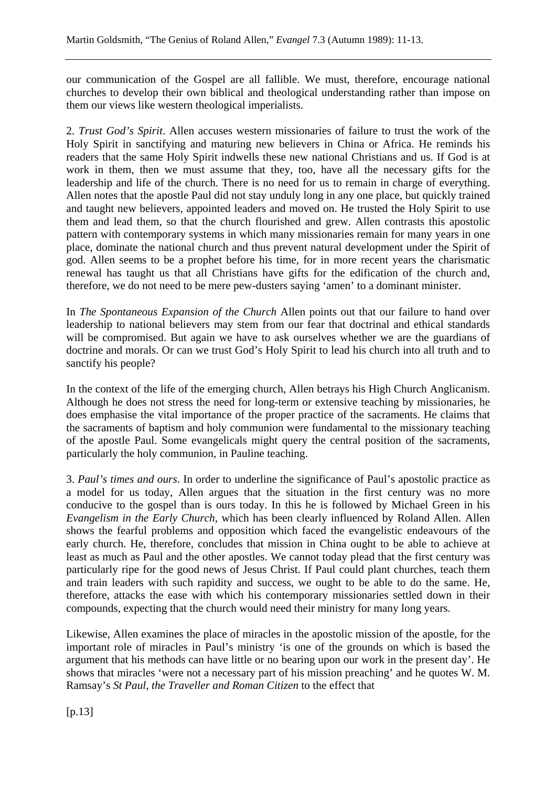our communication of the Gospel are all fallible. We must, therefore, encourage national churches to develop their own biblical and theological understanding rather than impose on them our views like western theological imperialists.

2. *Trust God's Spirit*. Allen accuses western missionaries of failure to trust the work of the Holy Spirit in sanctifying and maturing new believers in China or Africa. He reminds his readers that the same Holy Spirit indwells these new national Christians and us. If God is at work in them, then we must assume that they, too, have all the necessary gifts for the leadership and life of the church. There is no need for us to remain in charge of everything. Allen notes that the apostle Paul did not stay unduly long in any one place, but quickly trained and taught new believers, appointed leaders and moved on. He trusted the Holy Spirit to use them and lead them, so that the church flourished and grew. Allen contrasts this apostolic pattern with contemporary systems in which many missionaries remain for many years in one place, dominate the national church and thus prevent natural development under the Spirit of god. Allen seems to be a prophet before his time, for in more recent years the charismatic renewal has taught us that all Christians have gifts for the edification of the church and, therefore, we do not need to be mere pew-dusters saying 'amen' to a dominant minister.

In *The Spontaneous Expansion of the Church* Allen points out that our failure to hand over leadership to national believers may stem from our fear that doctrinal and ethical standards will be compromised. But again we have to ask ourselves whether we are the guardians of doctrine and morals. Or can we trust God's Holy Spirit to lead his church into all truth and to sanctify his people?

In the context of the life of the emerging church, Allen betrays his High Church Anglicanism. Although he does not stress the need for long-term or extensive teaching by missionaries, he does emphasise the vital importance of the proper practice of the sacraments. He claims that the sacraments of baptism and holy communion were fundamental to the missionary teaching of the apostle Paul. Some evangelicals might query the central position of the sacraments, particularly the holy communion, in Pauline teaching.

3. *Paul's times and ours*. In order to underline the significance of Paul's apostolic practice as a model for us today, Allen argues that the situation in the first century was no more conducive to the gospel than is ours today. In this he is followed by Michael Green in his *Evangelism in the Early Church*, which has been clearly influenced by Roland Allen. Allen shows the fearful problems and opposition which faced the evangelistic endeavours of the early church. He, therefore, concludes that mission in China ought to be able to achieve at least as much as Paul and the other apostles. We cannot today plead that the first century was particularly ripe for the good news of Jesus Christ. If Paul could plant churches, teach them and train leaders with such rapidity and success, we ought to be able to do the same. He, therefore, attacks the ease with which his contemporary missionaries settled down in their compounds, expecting that the church would need their ministry for many long years.

Likewise, Allen examines the place of miracles in the apostolic mission of the apostle, for the important role of miracles in Paul's ministry 'is one of the grounds on which is based the argument that his methods can have little or no bearing upon our work in the present day'. He shows that miracles 'were not a necessary part of his mission preaching' and he quotes W. M. Ramsay's *St Paul, the Traveller and Roman Citizen* to the effect that